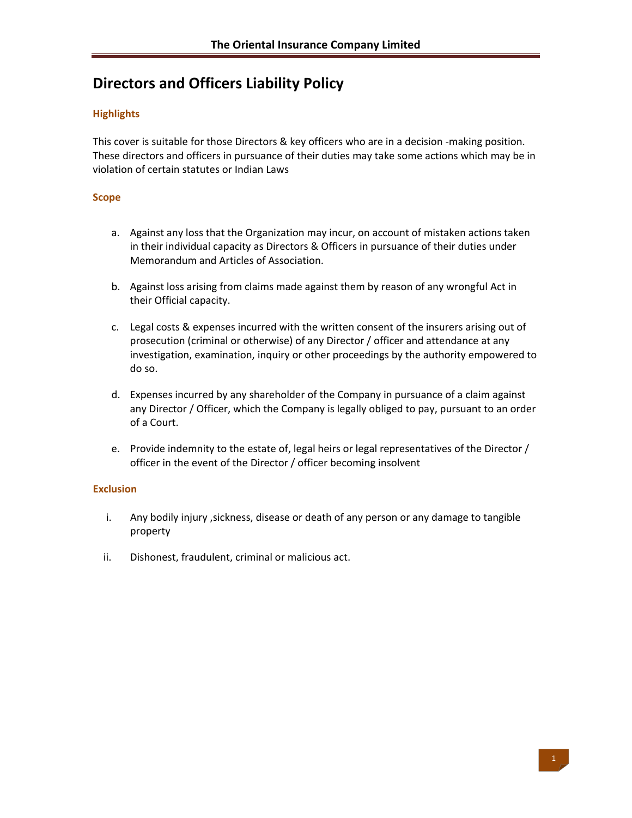# **Directors and Officers Liability Policy**

## **Highlights**

This cover is suitable for those Directors & key officers who are in a decision ‐making position. These directors and officers in pursuance of their duties may take some actions which may be in violation of certain statutes or Indian Laws

#### **Scope**

- a. Against any loss that the Organization may incur, on account of mistaken actions taken in their individual capacity as Directors & Officers in pursuance of their duties under Memorandum and Articles of Association.
- b. Against loss arising from claims made against them by reason of any wrongful Act in their Official capacity.
- c. Legal costs & expenses incurred with the written consent of the insurers arising out of prosecution (criminal or otherwise) of any Director / officer and attendance at any investigation, examination, inquiry or other proceedings by the authority empowered to do so.
- d. Expenses incurred by any shareholder of the Company in pursuance of a claim against any Director / Officer, which the Company is legally obliged to pay, pursuant to an order of a Court.
- e. Provide indemnity to the estate of, legal heirs or legal representatives of the Director / officer in the event of the Director / officer becoming insolvent

### **Exclusion**

- i. Any bodily injury ,sickness, disease or death of any person or any damage to tangible property
- ii. Dishonest, fraudulent, criminal or malicious act.